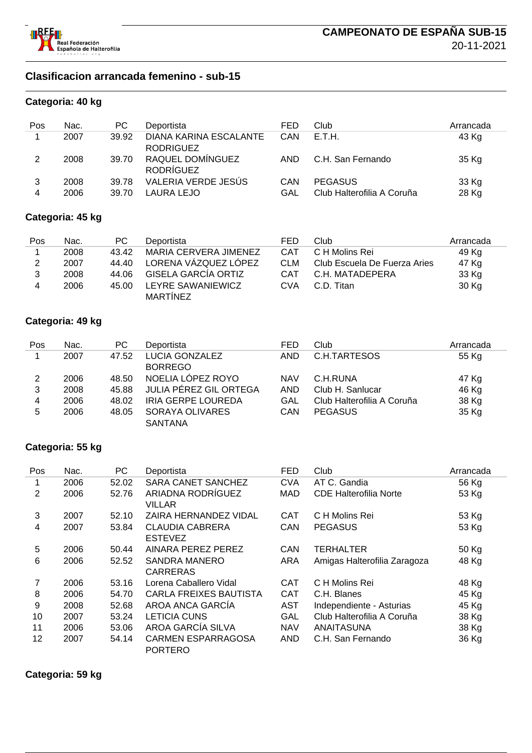

## **Clasificacion arrancada femenino - sub-15**

#### **Categoria: 40 kg**

| Pos | Nac. | PC.   | Deportista                                 | FED        | Club                       | Arrancada |
|-----|------|-------|--------------------------------------------|------------|----------------------------|-----------|
|     | 2007 | 39.92 | DIANA KARINA ESCALANTE<br><b>RODRIGUEZ</b> | <b>CAN</b> | E.T.H.                     | 43 Kg     |
|     | 2008 | 39.70 | RAQUEL DOMÍNGUEZ<br><b>RODRÍGUEZ</b>       | AND        | C.H. San Fernando          | 35 Kg     |
|     | 2008 | 39.78 | VALERIA VERDE JESÚS                        | CAN        | <b>PEGASUS</b>             | 33 Kg     |
|     | 2006 | 39.70 | <b>LAURA LEJO</b>                          | GAL        | Club Halterofilia A Coruña | 28 Kg     |

## **Categoria: 45 kg**

| Pos | Nac. | PC.   | Deportista            | <b>FED</b> | Club                         | Arrancada |
|-----|------|-------|-----------------------|------------|------------------------------|-----------|
|     | 2008 | 43.42 | MARIA CERVERA JIMENEZ | CAT        | C H Molins Rei               | 49 Kg     |
|     | 2007 | 44.40 | LORENA VÁZQUEZ LÓPEZ  | <b>CLM</b> | Club Escuela De Fuerza Aries | 47 Kg     |
| 3   | 2008 | 44.06 | GISELA GARCÍA ORTIZ   | CAT        | C.H. MATADEPERA              | 33 Kg     |
|     | 2006 | 45.00 | LEYRE SAWANIEWICZ     | CVA        | C.D. Titan                   | 30 Kg     |
|     |      |       | <b>MARTINEZ</b>       |            |                              |           |

#### **Categoria: 49 kg**

| Pos | Nac. | PC.   | Deportista                | FED        | Club                       | Arrancada |
|-----|------|-------|---------------------------|------------|----------------------------|-----------|
|     | 2007 | 47.52 | LUCIA GONZALEZ            | <b>AND</b> | C.H.TARTESOS               | 55 Kg     |
|     |      |       | <b>BORREGO</b>            |            |                            |           |
| 2   | 2006 | 48.50 | NOELIA LÓPEZ ROYO         | <b>NAV</b> | C.H.RUNA                   | 47 Kg     |
| 3   | 2008 | 45.88 | JULIA PÉREZ GIL ORTEGA    | <b>AND</b> | Club H. Sanlucar           | 46 Kg     |
| 4   | 2006 | 48.02 | <b>IRIA GERPE LOUREDA</b> | GAL        | Club Halterofilia A Coruña | 38 Kg     |
| 5   | 2006 | 48.05 | SORAYA OLIVARES           | CAN        | <b>PEGASUS</b>             | 35 Kg     |
|     |      |       | <b>SANTANA</b>            |            |                            |           |

#### **Categoria: 55 kg**

| Pos            | Nac. | PC.   | Deportista                                  | <b>FED</b> | Club                          | Arrancada |
|----------------|------|-------|---------------------------------------------|------------|-------------------------------|-----------|
| 1              | 2006 | 52.02 | <b>SARA CANET SANCHEZ</b>                   | <b>CVA</b> | AT C. Gandia                  | 56 Kg     |
| $\overline{2}$ | 2006 | 52.76 | ARIADNA RODRÍGUEZ<br><b>VILLAR</b>          | <b>MAD</b> | <b>CDE Halterofilia Norte</b> | 53 Kg     |
| 3              | 2007 | 52.10 | ZAIRA HERNANDEZ VIDAL                       | <b>CAT</b> | C H Molins Rei                | 53 Kg     |
| 4              | 2007 | 53.84 | <b>CLAUDIA CABRERA</b><br><b>ESTEVEZ</b>    | CAN        | <b>PEGASUS</b>                | 53 Kg     |
| 5              | 2006 | 50.44 | AINARA PEREZ PEREZ                          | <b>CAN</b> | <b>TERHALTER</b>              | 50 Kg     |
| 6              | 2006 | 52.52 | <b>SANDRA MANERO</b><br><b>CARRERAS</b>     | ARA        | Amigas Halterofilia Zaragoza  | 48 Kg     |
| 7              | 2006 | 53.16 | Lorena Caballero Vidal                      | <b>CAT</b> | C H Molins Rei                | 48 Kg     |
| 8              | 2006 | 54.70 | <b>CARLA FREIXES BAUTISTA</b>               | <b>CAT</b> | C.H. Blanes                   | 45 Kg     |
| 9              | 2008 | 52.68 | AROA ANCA GARCÍA                            | <b>AST</b> | Independiente - Asturias      | 45 Kg     |
| 10             | 2007 | 53.24 | LETICIA CUNS                                | GAL        | Club Halterofilia A Coruña    | 38 Kg     |
| 11             | 2006 | 53.06 | AROA GARCÍA SILVA                           | <b>NAV</b> | <b>ANAITASUNA</b>             | 38 Kg     |
| 12             | 2007 | 54.14 | <b>CARMEN ESPARRAGOSA</b><br><b>PORTERO</b> | <b>AND</b> | C.H. San Fernando             | 36 Kg     |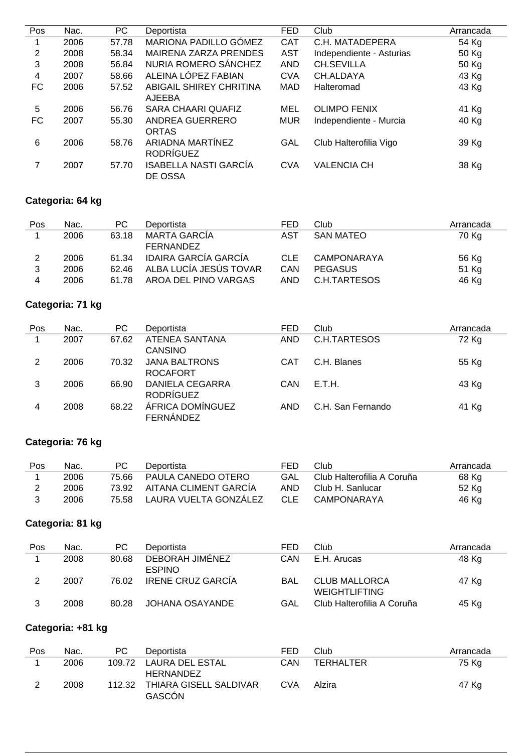| Pos | Nac. | PC.   | Deportista                   | <b>FED</b> | Club                     | Arrancada |
|-----|------|-------|------------------------------|------------|--------------------------|-----------|
|     | 2006 | 57.78 | MARIONA PADILLO GÓMEZ        | <b>CAT</b> | C.H. MATADEPERA          | 54 Kg     |
| 2   | 2008 | 58.34 | <b>MAIRENA ZARZA PRENDES</b> | <b>AST</b> | Independiente - Asturias | 50 Kg     |
| 3   | 2008 | 56.84 | NURIA ROMERO SÁNCHEZ         | <b>AND</b> | <b>CH.SEVILLA</b>        | 50 Kg     |
| 4   | 2007 | 58.66 | ALEINA LÓPEZ FABIAN          | <b>CVA</b> | CH.ALDAYA                | 43 Kg     |
| FC  | 2006 | 57.52 | ABIGAIL SHIREY CHRITINA      | <b>MAD</b> | Halteromad               | 43 Kg     |
|     |      |       | <b>AJEEBA</b>                |            |                          |           |
| 5   | 2006 | 56.76 | <b>SARA CHAARI QUAFIZ</b>    | MEL        | <b>OLIMPO FENIX</b>      | 41 Kg     |
| FC  | 2007 | 55.30 | ANDREA GUERRERO              | <b>MUR</b> | Independiente - Murcia   | 40 Kg     |
|     |      |       | <b>ORTAS</b>                 |            |                          |           |
| 6   | 2006 | 58.76 | ARIADNA MARTÍNEZ             | GAL        | Club Halterofilia Vigo   | 39 Kg     |
|     |      |       | <b>RODRÍGUEZ</b>             |            |                          |           |
|     | 2007 | 57.70 | <b>ISABELLA NASTI GARCÍA</b> | <b>CVA</b> | <b>VALENCIA CH</b>       | 38 Kg     |
|     |      |       | DE OSSA                      |            |                          |           |

## **Categoria: 64 kg**

| Pos | Nac. | PC.   | Deportista             | FED  | Club             | Arrancada |
|-----|------|-------|------------------------|------|------------------|-----------|
|     | 2006 | 63.18 | MARTA GARCIA           | AST  | <b>SAN MATEO</b> | 70 Kg     |
|     |      |       | FERNANDEZ              |      |                  |           |
|     | 2006 | 61.34 | IDAIRA GARCÍA GARCÍA   | CLE. | CAMPONARAYA      | 56 Kg     |
| 3   | 2006 | 62.46 | ALBA LUCÍA JESÚS TOVAR | CAN  | <b>PEGASUS</b>   | 51 Kg     |
|     | 2006 | 61 78 | AROA DEL PINO VARGAS   | AND  | C.H.TARTESOS     | 46 Kg     |

# **Categoria: 71 kg**

| Pos | Nac. | PС    | Deportista                              | FED        | Club              | Arrancada |
|-----|------|-------|-----------------------------------------|------------|-------------------|-----------|
|     | 2007 | 67.62 | ATENEA SANTANA<br><b>CANSINO</b>        | <b>AND</b> | C.H.TARTESOS      | 72 Kg     |
| 2   | 2006 | 70.32 | <b>JANA BALTRONS</b><br><b>ROCAFORT</b> | CAT        | C.H. Blanes       | 55 Kg     |
| 3   | 2006 | 66.90 | DANIELA CEGARRA<br><b>RODRÍGUEZ</b>     | CAN        | E.T.H.            | 43 Kg     |
| 4   | 2008 | 68.22 | ÁFRICA DOMÍNGUEZ<br>FERNÁNDEZ           | AND        | C.H. San Fernando | 41 Kg     |

# **Categoria: 76 kg**

| Pos | Nac. | PC.   | Deportista                  | <b>FED</b> | Club                       | Arrancada |
|-----|------|-------|-----------------------------|------------|----------------------------|-----------|
|     | 2006 |       | 75.66 PAULA CANEDO OTERO    | GAL        | Club Halterofilia A Coruña | 68 Kg     |
|     | 2006 |       | 73.92 AITANA CLIMENT GARCÍA | AND.       | Club H. Sanlucar           | 52 Kg     |
|     | 2006 | 75.58 | LAURA VUELTA GONZÁLEZ       | CLE        | CAMPONARAYA                | 46 Kg     |

## **Categoria: 81 kg**

| Pos | Nac. | PC.   | Deportista                       | FED        | Club                                         | Arrancada |
|-----|------|-------|----------------------------------|------------|----------------------------------------------|-----------|
|     | 2008 | 80.68 | DEBORAH JIMÉNEZ<br><b>ESPINO</b> | CAN        | E.H. Arucas                                  | 48 Kg     |
| 2   | 2007 | 76.02 | <b>IRENE CRUZ GARCIA</b>         | <b>BAL</b> | <b>CLUB MALLORCA</b><br><b>WEIGHTLIFTING</b> | 47 Kg     |
|     | 2008 | 80.28 | JOHANA OSAYANDE                  | GAL        | Club Halterofilia A Coruña                   | 45 Kg     |

# **Categoria: +81 kg**

| Pos | Nac. | PC.    | Deportista                                 | FED | Club             | Arrancada |
|-----|------|--------|--------------------------------------------|-----|------------------|-----------|
|     | 2006 |        | 109.72 LAURA DEL ESTAL<br><b>HERNANDEZ</b> | CAN | <b>TERHALTER</b> | 75 Kg     |
|     | 2008 | 112.32 | THIARA GISELL SALDIVAR<br>GASCÓN           | CVA | Alzira           | 47 Kg     |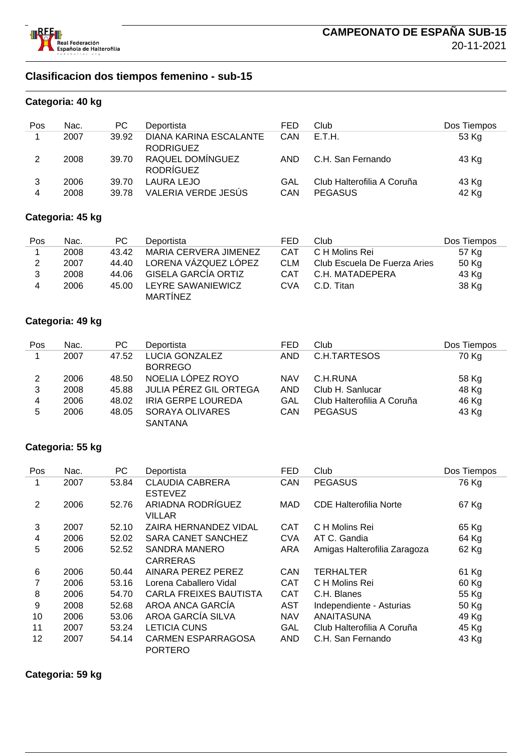

## **Clasificacion dos tiempos femenino - sub-15**

#### **Categoria: 40 kg**

| Pos | Nac. | PC.   | Deportista                                 | FED        | Club                       | Dos Tiempos |
|-----|------|-------|--------------------------------------------|------------|----------------------------|-------------|
|     | 2007 | 39.92 | DIANA KARINA ESCALANTE<br><b>RODRIGUEZ</b> | <b>CAN</b> | E.T.H.                     | 53 Kg       |
|     | 2008 | 39.70 | RAQUEL DOMÍNGUEZ<br><b>RODRÍGUEZ</b>       | <b>AND</b> | C.H. San Fernando          | 43 Kg       |
|     | 2006 | 39.70 | LAURA LEJO                                 | GAL        | Club Halterofilia A Coruña | 43 Kg       |
| 4   | 2008 | 39.78 | VALERIA VERDE JESÚS                        | CAN        | <b>PEGASUS</b>             | 42 Kg       |

## **Categoria: 45 kg**

| Pos | Nac. | PC.   | Deportista            | FED        | Club                         | Dos Tiempos |
|-----|------|-------|-----------------------|------------|------------------------------|-------------|
|     | 2008 | 43.42 | MARIA CERVERA JIMENEZ | CAT        | C H Molins Rei               | 57 Kg       |
| 2   | 2007 | 44.40 | LORENA VÁZQUEZ LÓPEZ  | <b>CLM</b> | Club Escuela De Fuerza Aries | 50 Kg       |
| 3   | 2008 | 44.06 | GISELA GARCÍA ORTIZ   | <b>CAT</b> | C.H. MATADEPERA              | 43 Kg       |
| 4   | 2006 | 45.00 | LEYRE SAWANIEWICZ     | CVA        | C.D. Titan                   | 38 Kg       |
|     |      |       | <b>MARTINEZ</b>       |            |                              |             |

## **Categoria: 49 kg**

| Pos | Nac. | PC.   | Deportista                | <b>FED</b> | Club                       | Dos Tiempos |
|-----|------|-------|---------------------------|------------|----------------------------|-------------|
|     | 2007 | 47.52 | LUCIA GONZALEZ            | <b>AND</b> | C.H.TARTESOS               | 70 Kg       |
|     |      |       | <b>BORREGO</b>            |            |                            |             |
| 2   | 2006 | 48.50 | NOELIA LÓPEZ ROYO         | <b>NAV</b> | C.H.RUNA                   | 58 Kg       |
| 3   | 2008 | 45.88 | JULIA PÉREZ GIL ORTEGA    | <b>AND</b> | Club H. Sanlucar           | 48 Kg       |
| 4   | 2006 | 48.02 | <b>IRIA GERPE LOUREDA</b> | GAL        | Club Halterofilia A Coruña | 46 Kg       |
| 5   | 2006 | 48.05 | SORAYA OLIVARES           | CAN        | <b>PEGASUS</b>             | 43 Kg       |
|     |      |       | <b>SANTANA</b>            |            |                            |             |

#### **Categoria: 55 kg**

| Pos            | Nac. | PC.   | Deportista                    | <b>FED</b> | Club                         | Dos Tiempos |
|----------------|------|-------|-------------------------------|------------|------------------------------|-------------|
| 1              | 2007 | 53.84 | <b>CLAUDIA CABRERA</b>        | CAN        | <b>PEGASUS</b>               | 76 Kg       |
|                |      |       | <b>ESTEVEZ</b>                |            |                              |             |
| $\overline{2}$ | 2006 | 52.76 | ARIADNA RODRÍGUEZ             | MAD        | CDE Halterofilia Norte       | 67 Kg       |
|                |      |       | <b>VILLAR</b>                 |            |                              |             |
| 3              | 2007 | 52.10 | ZAIRA HERNANDEZ VIDAL         | <b>CAT</b> | C H Molins Rei               | 65 Kg       |
| 4              | 2006 | 52.02 | SARA CANET SANCHEZ            | <b>CVA</b> | AT C. Gandia                 | 64 Kg       |
| 5              | 2006 | 52.52 | <b>SANDRA MANERO</b>          | ARA        | Amigas Halterofilia Zaragoza | 62 Kg       |
|                |      |       | <b>CARRERAS</b>               |            |                              |             |
| 6              | 2006 | 50.44 | AINARA PEREZ PEREZ            | <b>CAN</b> | TERHALTER                    | 61 Kg       |
| 7              | 2006 | 53.16 | Lorena Caballero Vidal        | <b>CAT</b> | C H Molins Rei               | 60 Kg       |
| 8              | 2006 | 54.70 | <b>CARLA FREIXES BAUTISTA</b> | <b>CAT</b> | C.H. Blanes                  | 55 Kg       |
| 9              | 2008 | 52.68 | AROA ANCA GARCÍA              | AST        | Independiente - Asturias     | 50 Kg       |
| 10             | 2006 | 53.06 | AROA GARCÍA SILVA             | <b>NAV</b> | ANAITASUNA                   | 49 Kg       |
| 11             | 2007 | 53.24 | <b>LETICIA CUNS</b>           | GAL        | Club Halterofilia A Coruña   | 45 Kg       |
| 12             | 2007 | 54.14 | <b>CARMEN ESPARRAGOSA</b>     | <b>AND</b> | C.H. San Fernando            | 43 Kg       |
|                |      |       | <b>PORTERO</b>                |            |                              |             |

## **Categoria: 59 kg**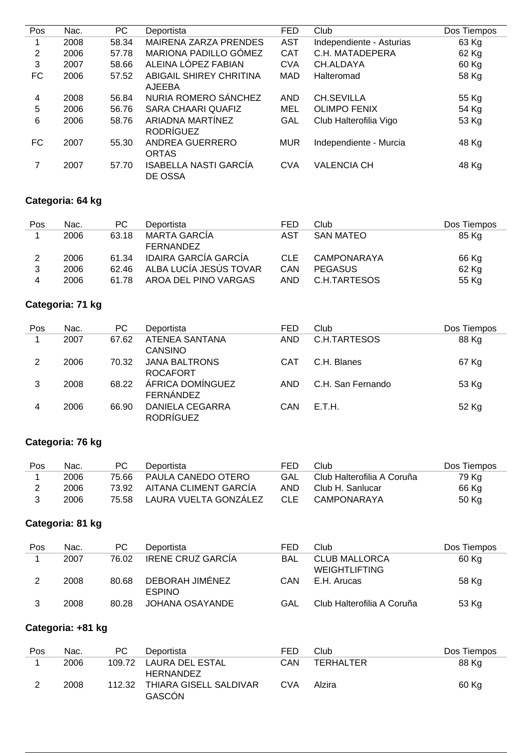| Pos       | Nac. | PC.   | Deportista                                  | <b>FED</b> | Club                     | Dos Tiempos |
|-----------|------|-------|---------------------------------------------|------------|--------------------------|-------------|
|           | 2008 | 58.34 | <b>MAIRENA ZARZA PRENDES</b>                | <b>AST</b> | Independiente - Asturias | 63 Kg       |
| 2         | 2006 | 57.78 | MARIONA PADILLO GÓMEZ                       | <b>CAT</b> | C.H. MATADEPERA          | 62 Kg       |
| 3         | 2007 | 58.66 | ALEINA LÓPEZ FABIAN                         | <b>CVA</b> | CH.ALDAYA                | 60 Kg       |
| <b>FC</b> | 2006 | 57.52 | ABIGAIL SHIREY CHRITINA<br><b>AJEEBA</b>    | <b>MAD</b> | Halteromad               | 58 Kg       |
| 4         | 2008 | 56.84 | NURIA ROMERO SÁNCHEZ                        | <b>AND</b> | <b>CH.SEVILLA</b>        | 55 Kg       |
| 5         | 2006 | 56.76 | <b>SARA CHAARI QUAFIZ</b>                   | MEL        | <b>OLIMPO FENIX</b>      | 54 Kg       |
| 6         | 2006 | 58.76 | <b>ARIADNA MARTÍNEZ</b><br><b>RODRÍGUEZ</b> | GAL        | Club Halterofilia Vigo   | 53 Kg       |
| FC        | 2007 | 55.30 | ANDREA GUERRERO<br><b>ORTAS</b>             | <b>MUR</b> | Independiente - Murcia   | 48 Kg       |
|           | 2007 | 57.70 | <b>ISABELLA NASTI GARCÍA</b><br>DE OSSA     | <b>CVA</b> | <b>VALENCIA CH</b>       | 48 Kg       |

## **Categoria: 64 kg**

| Pos | Nac. | PC.   | Deportista             | FED  | Club             | Dos Tiempos |
|-----|------|-------|------------------------|------|------------------|-------------|
|     | 2006 | 63.18 | MARTA GARCIA           | AST  | <b>SAN MATEO</b> | 85 Kg       |
|     |      |       | FERNANDEZ              |      |                  |             |
|     | 2006 | 61.34 | IDAIRA GARCÍA GARCÍA   | CLE. | CAMPONARAYA      | 66 Kg       |
| 3   | 2006 | 62.46 | ALBA LUCÍA JESÚS TOVAR | CAN  | <b>PEGASUS</b>   | 62 Kg       |
|     | 2006 | 61 78 | AROA DEL PINO VARGAS   | AND. | C.H.TARTESOS     | 55 Kg       |

# **Categoria: 71 kg**

| Pos | Nac. | PС    | Deportista                              | FED        | Club              | Dos Tiempos |
|-----|------|-------|-----------------------------------------|------------|-------------------|-------------|
|     | 2007 | 67.62 | ATENEA SANTANA<br><b>CANSINO</b>        | <b>AND</b> | C.H.TARTESOS      | 88 Kg       |
| 2   | 2006 | 70.32 | <b>JANA BALTRONS</b><br><b>ROCAFORT</b> | <b>CAT</b> | C.H. Blanes       | 67 Kg       |
| 3   | 2008 | 68.22 | ÁFRICA DOMÍNGUEZ<br>FERNÁNDEZ           | <b>AND</b> | C.H. San Fernando | 53 Kg       |
| 4   | 2006 | 66.90 | DANIELA CEGARRA<br><b>RODRÍGUEZ</b>     | CAN        | E.T.H.            | 52 Kg       |

# **Categoria: 76 kg**

| Pos | Nac. | PC.   | Deportista            | FED  | Club                       | Dos Tiempos |
|-----|------|-------|-----------------------|------|----------------------------|-------------|
|     | 2006 | 75.66 | PAULA CANEDO OTERO    | GAL  | Club Halterofilia A Coruña | 79 Kg       |
|     | 2006 | 73.92 | AITANA CLIMENT GARCÍA | AND. | Club H. Sanlucar           | 66 Kg       |
|     | 2006 | 75.58 | LAURA VUELTA GONZALEZ | CLE. | CAMPONARAYA                | 50 Kg       |

## **Categoria: 81 kg**

| Pos | Nac. | PC.   | Deportista                       | FED | Club                                         | Dos Tiempos |
|-----|------|-------|----------------------------------|-----|----------------------------------------------|-------------|
|     | 2007 | 76.02 | <b>IRENE CRUZ GARCÍA</b>         | BAL | <b>CLUB MALLORCA</b><br><b>WEIGHTLIFTING</b> | 60 Kg       |
| າ   | 2008 | 80.68 | DEBORAH JIMÉNEZ<br><b>ESPINO</b> | CAN | E.H. Arucas                                  | 58 Kg       |
| 3   | 2008 | 80.28 | JOHANA OSAYANDE                  | GAL | Club Halterofilia A Coruña                   | 53 Kg       |

# **Categoria: +81 kg**

| Pos | Nac. | PC.    | Deportista                                 | FED | Club             | Dos Tiempos |
|-----|------|--------|--------------------------------------------|-----|------------------|-------------|
|     | 2006 |        | 109.72 LAURA DEL ESTAL<br><b>HERNANDEZ</b> | CAN | <b>TERHALTER</b> | 88 Kg       |
|     | 2008 | 112.32 | THIARA GISELL SALDIVAR<br>GASCÓN           | CVA | Alzira           | 60 Kg       |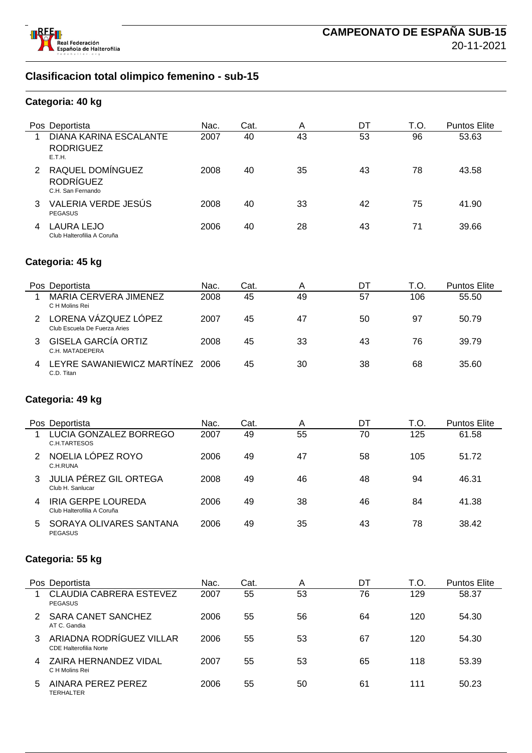

## **Categoria: 40 kg**

|    | Pos Deportista                                            | Nac. | Cat. | Α  | DT | T.O. | <b>Puntos Elite</b> |
|----|-----------------------------------------------------------|------|------|----|----|------|---------------------|
| 1. | DIANA KARINA ESCALANTE<br><b>RODRIGUEZ</b><br>E.T.H.      | 2007 | 40   | 43 | 53 | 96   | 53.63               |
| 2  | RAQUEL DOMÍNGUEZ<br><b>RODRÍGUEZ</b><br>C.H. San Fernando | 2008 | 40   | 35 | 43 | 78   | 43.58               |
| 3  | VALERIA VERDE JESÚS<br><b>PEGASUS</b>                     | 2008 | 40   | 33 | 42 | 75   | 41.90               |
| 4  | <b>LAURA LEJO</b><br>Club Halterofilia A Coruña           | 2006 | 40   | 28 | 43 | 71   | 39.66               |
|    | Categoria: 45 kg                                          |      |      |    |    |      |                     |
|    | Pos Deportista                                            | Nac. | Cat. | A  | DT | T.O. | <b>Puntos Elite</b> |
| 1  | MARIA CERVERA JIMENEZ<br>C H Molins Rei                   | 2008 | 45   | 49 | 57 | 106  | 55.50               |
| 2  | LORENA VÁZQUEZ LÓPEZ<br>Club Escuela De Fuerza Aries      | 2007 | 45   | 47 | 50 | 97   | 50.79               |
| 3  | <b>GISELA GARCÍA ORTIZ</b><br>C.H. MATADEPERA             | 2008 | 45   | 33 | 43 | 76   | 39.79               |
| 4  | LEYRE SAWANIEWICZ MARTÍNEZ<br>C.D. Titan                  | 2006 | 45   | 30 | 38 | 68   | 35.60               |
|    | Categoria: 49 kg                                          |      |      |    |    |      |                     |
|    | Pos Deportista                                            | Nac. | Cat. | Α  | DT | T.O. | <b>Puntos Elite</b> |
| 1  | LUCIA GONZALEZ BORREGO<br>C.H.TARTESOS                    | 2007 | 49   | 55 | 70 | 125  | 61.58               |
| 2  | NOELIA LÓPEZ ROYO<br>C.H.RUNA                             | 2006 | 49   | 47 | 58 | 105  | 51.72               |
| 3  | <b>JULIA PÉREZ GIL ORTEGA</b><br>Club H. Sanlucar         | 2008 | 49   | 46 | 48 | 94   | 46.31               |
|    | <b>IRIA GERPE LOUREDA</b><br>Club Halterofilia A Coruña   | 2006 | 49   | 38 | 46 | 84   | 41.38               |
| 5  | SORAYA OLIVARES SANTANA<br><b>PEGASUS</b>                 | 2006 | 49   | 35 | 43 | 78   | 38.42               |
|    | Categoria: 55 kg                                          |      |      |    |    |      |                     |
|    | Pos Deportista                                            | Nac. | Cat. | A  | DT | T.O. | Puntos Elite        |
| 1  | CLAUDIA CABRERA ESTEVEZ<br><b>PEGASUS</b>                 | 2007 | 55   | 53 | 76 | 129  | 58.37               |
| 2  | <b>SARA CANET SANCHEZ</b><br>AT C. Gandia                 | 2006 | 55   | 56 | 64 | 120  | 54.30               |
| 3  | ARIADNA RODRÍGUEZ VILLAR<br><b>CDE Halterofilia Norte</b> | 2006 | 55   | 53 | 67 | 120  | 54.30               |
| 4  | ZAIRA HERNANDEZ VIDAL<br>C H Molins Rei                   | 2007 | 55   | 53 | 65 | 118  | 53.39               |
| 5. | AINARA PEREZ PEREZ<br>TERHALTER                           | 2006 | 55   | 50 | 61 | 111  | 50.23               |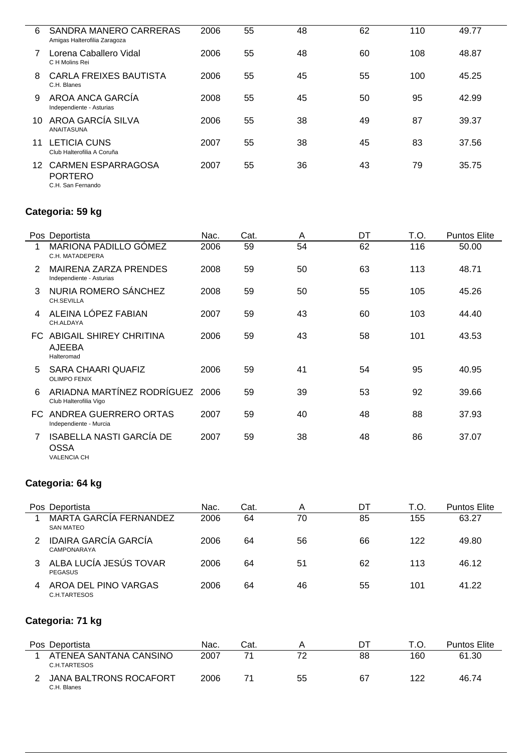| 6              | SANDRA MANERO CARRERAS<br>Amigas Halterofilia Zaragoza           | 2006 | 55 | 48 | 62 | 110 | 49.77 |
|----------------|------------------------------------------------------------------|------|----|----|----|-----|-------|
| $\overline{7}$ | Lorena Caballero Vidal<br>C H Molins Rei                         | 2006 | 55 | 48 | 60 | 108 | 48.87 |
| 8              | <b>CARLA FREIXES BAUTISTA</b><br>C.H. Blanes                     | 2006 | 55 | 45 | 55 | 100 | 45.25 |
| 9              | AROA ANCA GARCÍA<br>Independiente - Asturias                     | 2008 | 55 | 45 | 50 | 95  | 42.99 |
| 10             | AROA GARCÍA SILVA<br><b>ANAITASUNA</b>                           | 2006 | 55 | 38 | 49 | 87  | 39.37 |
| 11             | <b>LETICIA CUNS</b><br>Club Halterofilia A Coruña                | 2007 | 55 | 38 | 45 | 83  | 37.56 |
| 12             | <b>CARMEN ESPARRAGOSA</b><br><b>PORTERO</b><br>C.H. San Fernando | 2007 | 55 | 36 | 43 | 79  | 35.75 |

## **Categoria: 59 kg**

 $\overline{a}$ 

|               | Pos Deportista                                                | Nac. | Cat. | A  | DT | T.O. | <b>Puntos Elite</b> |
|---------------|---------------------------------------------------------------|------|------|----|----|------|---------------------|
| 1             | MARIONA PADILLO GÓMEZ<br>C.H. MATADEPERA                      | 2006 | 59   | 54 | 62 | 116  | 50.00               |
| $\mathcal{P}$ | MAIRENA ZARZA PRENDES<br>Independiente - Asturias             | 2008 | 59   | 50 | 63 | 113  | 48.71               |
| 3             | NURIA ROMERO SÁNCHEZ<br>CH.SEVILLA                            | 2008 | 59   | 50 | 55 | 105  | 45.26               |
| 4             | ALEINA LÓPEZ FABIAN<br>CH.ALDAYA                              | 2007 | 59   | 43 | 60 | 103  | 44.40               |
| FC.           | ABIGAIL SHIREY CHRITINA<br><b>AJEEBA</b><br>Halteromad        | 2006 | 59   | 43 | 58 | 101  | 43.53               |
| 5             | SARA CHAARI QUAFIZ<br><b>OLIMPO FENIX</b>                     | 2006 | 59   | 41 | 54 | 95   | 40.95               |
| 6             | ARIADNA MARTÍNEZ RODRÍGUEZ 2006<br>Club Halterofilia Vigo     |      | 59   | 39 | 53 | 92   | 39.66               |
| FC.           | ANDREA GUERRERO ORTAS<br>Independiente - Murcia               | 2007 | 59   | 40 | 48 | 88   | 37.93               |
|               | ISABELLA NASTI GARCÍA DE<br><b>OSSA</b><br><b>VALENCIA CH</b> | 2007 | 59   | 38 | 48 | 86   | 37.07               |

## **Categoria: 64 kg**

| Pos Deportista                                    | Nac. | Cat. |    | DT | T.O | <b>Puntos Elite</b> |
|---------------------------------------------------|------|------|----|----|-----|---------------------|
| <b>MARTA GARCÍA FERNANDEZ</b><br><b>SAN MATEO</b> | 2006 | 64   | 70 | 85 | 155 | 63.27               |
| <b>IDAIRA GARCÍA GARCÍA</b><br>CAMPONARAYA        | 2006 | 64   | 56 | 66 | 122 | 49.80               |
| ALBA LUCÍA JESÚS TOVAR<br><b>PEGASUS</b>          | 2006 | 64   | 51 | 62 | 113 | 46.12               |
| AROA DEL PINO VARGAS<br>C.H.TARTESOS              | 2006 | 64   | 46 | 55 | 101 | 41.22               |

# **Categoria: 71 kg**

| Pos Deportista                         | Nac. | Cat. |    |    |     | <b>Puntos Elite</b> |
|----------------------------------------|------|------|----|----|-----|---------------------|
| ATENEA SANTANA CANSINO<br>C.H.TARTESOS | 2007 |      | 72 | 88 | 160 | 61.30               |
| JANA BALTRONS ROCAFORT<br>C.H. Blanes  | 2006 |      | 55 | 67 | 122 | 46.74               |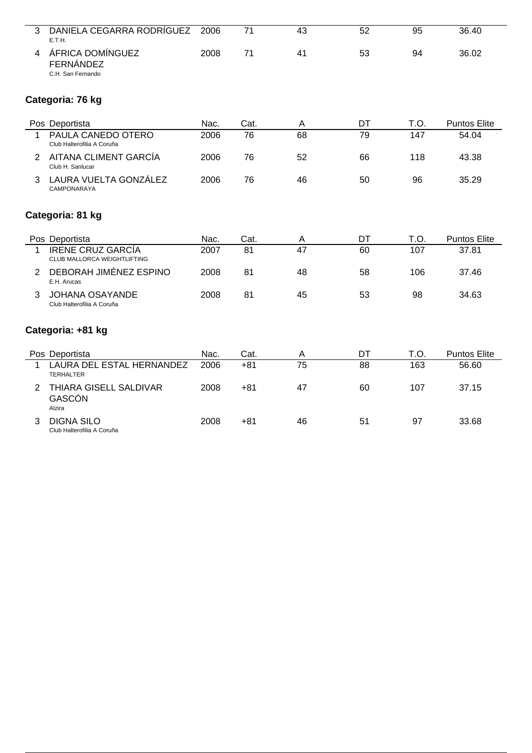| 3 | DANIELA CEGARRA RODRÍGUEZ<br>E.T.H.                       | 2006 | 71    | 43              | 52 | 95   | 36.40               |
|---|-----------------------------------------------------------|------|-------|-----------------|----|------|---------------------|
| 4 | ÁFRICA DOMÍNGUEZ<br><b>FERNÁNDEZ</b><br>C.H. San Fernando | 2008 | 71    | 41              | 53 | 94   | 36.02               |
|   | Categoria: 76 kg                                          |      |       |                 |    |      |                     |
|   | Pos Deportista                                            | Nac. | Cat.  | A               | DT | T.O. | <b>Puntos Elite</b> |
| 1 | PAULA CANEDO OTERO<br>Club Halterofilia A Coruña          | 2006 | 76    | 68              | 79 | 147  | 54.04               |
| 2 | AITANA CLIMENT GARCÍA<br>Club H. Sanlucar                 | 2006 | 76    | 52              | 66 | 118  | 43.38               |
| 3 | LAURA VUELTA GONZÁLEZ<br>CAMPONARAYA                      | 2006 | 76    | 46              | 50 | 96   | 35.29               |
|   | Categoria: 81 kg                                          |      |       |                 |    |      |                     |
|   | Pos Deportista                                            | Nac. | Cat.  | A               | DT | T.O. | <b>Puntos Elite</b> |
| 1 | <b>IRENE CRUZ GARCÍA</b><br>CLUB MALLORCA WEIGHTLIFTING   | 2007 | 81    | $\overline{47}$ | 60 | 107  | 37.81               |
| 2 | DEBORAH JIMÉNEZ ESPINO<br>E.H. Arucas                     | 2008 | 81    | 48              | 58 | 106  | 37.46               |
| 3 | <b>JOHANA OSAYANDE</b><br>Club Halterofilia A Coruña      | 2008 | 81    | 45              | 53 | 98   | 34.63               |
|   | Categoria: +81 kg                                         |      |       |                 |    |      |                     |
|   | Pos Deportista                                            | Nac. | Cat.  | A               | DT | T.O. | <b>Puntos Elite</b> |
| 1 | LAURA DEL ESTAL HERNANDEZ<br><b>TERHALTER</b>             | 2006 | $+81$ | 75              | 88 | 163  | 56.60               |
| 2 | THIARA GISELL SALDIVAR<br>GASCÓN<br>Alzira                | 2008 | $+81$ | 47              | 60 | 107  | 37.15               |
| 3 | <b>DIGNA SILO</b>                                         | 2008 | $+81$ | 46              | 51 | 97   | 33.68               |

Club Halterofilia A Coruña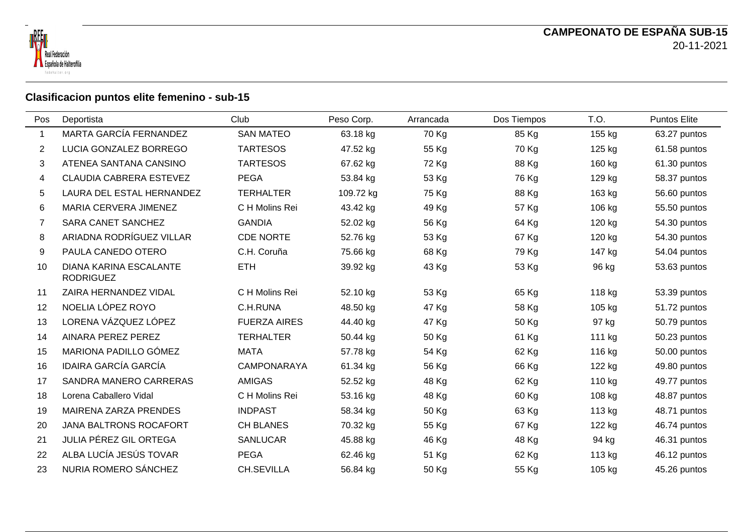



# **Clasificacion puntos elite femenino - sub-15**

| Pos            | Deportista                                 | Club                | Peso Corp. | Arrancada | Dos Tiempos | T.O.   | <b>Puntos Elite</b> |
|----------------|--------------------------------------------|---------------------|------------|-----------|-------------|--------|---------------------|
| 1              | <b>MARTA GARCÍA FERNANDEZ</b>              | <b>SAN MATEO</b>    | 63.18 kg   | 70 Kg     | 85 Kg       | 155 kg | 63.27 puntos        |
| $\overline{2}$ | LUCIA GONZALEZ BORREGO                     | <b>TARTESOS</b>     | 47.52 kg   | 55 Kg     | 70 Kg       | 125 kg | 61.58 puntos        |
| 3              | ATENEA SANTANA CANSINO                     | <b>TARTESOS</b>     | 67.62 kg   | 72 Kg     | 88 Kg       | 160 kg | 61.30 puntos        |
| 4              | CLAUDIA CABRERA ESTEVEZ                    | <b>PEGA</b>         | 53.84 kg   | 53 Kg     | 76 Kg       | 129 kg | 58.37 puntos        |
| 5              | LAURA DEL ESTAL HERNANDEZ                  | <b>TERHALTER</b>    | 109.72 kg  | 75 Kg     | 88 Kg       | 163 kg | 56.60 puntos        |
| 6              | MARIA CERVERA JIMENEZ                      | C H Molins Rei      | 43.42 kg   | 49 Kg     | 57 Kg       | 106 kg | 55.50 puntos        |
| 7              | <b>SARA CANET SANCHEZ</b>                  | <b>GANDIA</b>       | 52.02 kg   | 56 Kg     | 64 Kg       | 120 kg | 54.30 puntos        |
| 8              | ARIADNA RODRÍGUEZ VILLAR                   | <b>CDE NORTE</b>    | 52.76 kg   | 53 Kg     | 67 Kg       | 120 kg | 54.30 puntos        |
| 9              | PAULA CANEDO OTERO                         | C.H. Coruña         | 75.66 kg   | 68 Kg     | 79 Kg       | 147 kg | 54.04 puntos        |
| 10             | DIANA KARINA ESCALANTE<br><b>RODRIGUEZ</b> | <b>ETH</b>          | 39.92 kg   | 43 Kg     | 53 Kg       | 96 kg  | 53.63 puntos        |
| 11             | ZAIRA HERNANDEZ VIDAL                      | C H Molins Rei      | 52.10 kg   | 53 Kg     | 65 Kg       | 118 kg | 53.39 puntos        |
| 12             | NOELIA LÓPEZ ROYO                          | C.H.RUNA            | 48.50 kg   | 47 Kg     | 58 Kg       | 105 kg | 51.72 puntos        |
| 13             | LORENA VÁZQUEZ LÓPEZ                       | <b>FUERZA AIRES</b> | 44.40 kg   | 47 Kg     | 50 Kg       | 97 kg  | 50.79 puntos        |
| 14             | AINARA PEREZ PEREZ                         | <b>TERHALTER</b>    | 50.44 kg   | 50 Kg     | 61 Kg       | 111 kg | 50.23 puntos        |
| 15             | MARIONA PADILLO GÓMEZ                      | <b>MATA</b>         | 57.78 kg   | 54 Kg     | 62 Kg       | 116 kg | 50.00 puntos        |
| 16             | <b>IDAIRA GARCÍA GARCÍA</b>                | <b>CAMPONARAYA</b>  | 61.34 kg   | 56 Kg     | 66 Kg       | 122 kg | 49.80 puntos        |
| 17             | SANDRA MANERO CARRERAS                     | <b>AMIGAS</b>       | 52.52 kg   | 48 Kg     | 62 Kg       | 110 kg | 49.77 puntos        |
| 18             | Lorena Caballero Vidal                     | C H Molins Rei      | 53.16 kg   | 48 Kg     | 60 Kg       | 108 kg | 48.87 puntos        |
| 19             | MAIRENA ZARZA PRENDES                      | <b>INDPAST</b>      | 58.34 kg   | 50 Kg     | 63 Kg       | 113 kg | 48.71 puntos        |
| 20             | <b>JANA BALTRONS ROCAFORT</b>              | <b>CH BLANES</b>    | 70.32 kg   | 55 Kg     | 67 Kg       | 122 kg | 46.74 puntos        |
| 21             | JULIA PÉREZ GIL ORTEGA                     | <b>SANLUCAR</b>     | 45.88 kg   | 46 Kg     | 48 Kg       | 94 kg  | 46.31 puntos        |
| 22             | ALBA LUCÍA JESÚS TOVAR                     | <b>PEGA</b>         | 62.46 kg   | 51 Kg     | 62 Kg       | 113 kg | 46.12 puntos        |
| 23             | NURIA ROMERO SÁNCHEZ                       | <b>CH.SEVILLA</b>   | 56.84 kg   | 50 Kg     | 55 Kg       | 105 kg | 45.26 puntos        |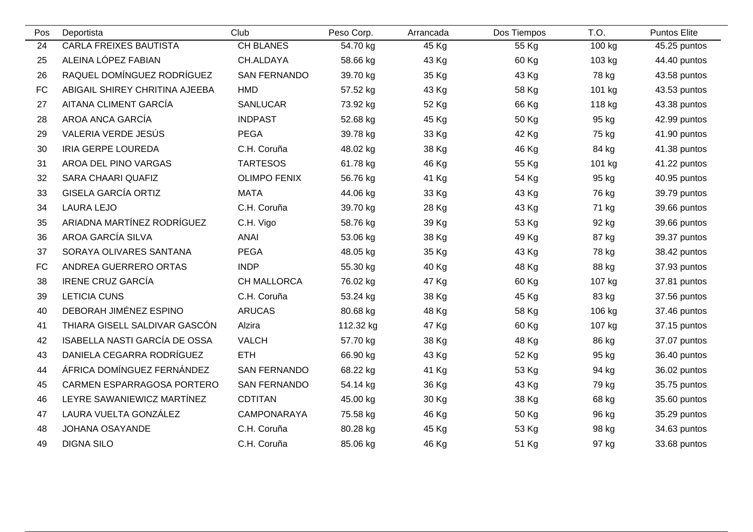| Pos       | Deportista                     | Club                | Peso Corp. | Arrancada | Dos Tiempos | T.O.   | <b>Puntos Elite</b> |
|-----------|--------------------------------|---------------------|------------|-----------|-------------|--------|---------------------|
| 24        | CARLA FREIXES BAUTISTA         | <b>CH BLANES</b>    | 54.70 kg   | 45 Kg     | 55 Kg       | 100 kg | 45.25 puntos        |
| 25        | ALEINA LÓPEZ FABIAN            | CH.ALDAYA           | 58.66 kg   | 43 Kg     | 60 Kg       | 103 kg | 44.40 puntos        |
| 26        | RAQUEL DOMÍNGUEZ RODRÍGUEZ     | <b>SAN FERNANDO</b> | 39.70 kg   | 35 Kg     | 43 Kg       | 78 kg  | 43.58 puntos        |
| <b>FC</b> | ABIGAIL SHIREY CHRITINA AJEEBA | <b>HMD</b>          | 57.52 kg   | 43 Kg     | 58 Kg       | 101 kg | 43.53 puntos        |
| 27        | AITANA CLIMENT GARCÍA          | <b>SANLUCAR</b>     | 73.92 kg   | 52 Kg     | 66 Kg       | 118 kg | 43.38 puntos        |
| 28        | AROA ANCA GARCÍA               | <b>INDPAST</b>      | 52.68 kg   | 45 Kg     | 50 Kg       | 95 kg  | 42.99 puntos        |
| 29        | VALERIA VERDE JESÚS            | <b>PEGA</b>         | 39.78 kg   | 33 Kg     | 42 Kg       | 75 kg  | 41.90 puntos        |
| 30        | <b>IRIA GERPE LOUREDA</b>      | C.H. Coruña         | 48.02 kg   | 38 Kg     | 46 Kg       | 84 kg  | 41.38 puntos        |
| 31        | AROA DEL PINO VARGAS           | <b>TARTESOS</b>     | 61.78 kg   | 46 Kg     | 55 Kg       | 101 kg | 41.22 puntos        |
| 32        | <b>SARA CHAARI QUAFIZ</b>      | <b>OLIMPO FENIX</b> | 56.76 kg   | 41 Kg     | 54 Kg       | 95 kg  | 40.95 puntos        |
| 33        | <b>GISELA GARCÍA ORTIZ</b>     | <b>MATA</b>         | 44.06 kg   | 33 Kg     | 43 Kg       | 76 kg  | 39.79 puntos        |
| 34        | <b>LAURA LEJO</b>              | C.H. Coruña         | 39.70 kg   | 28 Kg     | 43 Kg       | 71 kg  | 39.66 puntos        |
| 35        | ARIADNA MARTÍNEZ RODRÍGUEZ     | C.H. Vigo           | 58.76 kg   | 39 Kg     | 53 Kg       | 92 kg  | 39.66 puntos        |
| 36        | <b>AROA GARCÍA SILVA</b>       | <b>ANAI</b>         | 53.06 kg   | 38 Kg     | 49 Kg       | 87 kg  | 39.37 puntos        |
| 37        | SORAYA OLIVARES SANTANA        | <b>PEGA</b>         | 48.05 kg   | 35 Kg     | 43 Kg       | 78 kg  | 38.42 puntos        |
| <b>FC</b> | ANDREA GUERRERO ORTAS          | <b>INDP</b>         | 55.30 kg   | 40 Kg     | 48 Kg       | 88 kg  | 37.93 puntos        |
| 38        | <b>IRENE CRUZ GARCÍA</b>       | CH MALLORCA         | 76.02 kg   | 47 Kg     | 60 Kg       | 107 kg | 37.81 puntos        |
| 39        | <b>LETICIA CUNS</b>            | C.H. Coruña         | 53.24 kg   | 38 Kg     | 45 Kg       | 83 kg  | 37.56 puntos        |
| 40        | DEBORAH JIMÉNEZ ESPINO         | <b>ARUCAS</b>       | 80.68 kg   | 48 Kg     | 58 Kg       | 106 kg | 37.46 puntos        |
| 41        | THIARA GISELL SALDIVAR GASCÓN  | Alzira              | 112.32 kg  | 47 Kg     | 60 Kg       | 107 kg | 37.15 puntos        |
| 42        | ISABELLA NASTI GARCÍA DE OSSA  | <b>VALCH</b>        | 57.70 kg   | 38 Kg     | 48 Kg       | 86 kg  | 37.07 puntos        |
| 43        | DANIELA CEGARRA RODRÍGUEZ      | <b>ETH</b>          | 66.90 kg   | 43 Kg     | 52 Kg       | 95 kg  | 36.40 puntos        |
| 44        | ÁFRICA DOMÍNGUEZ FERNÁNDEZ     | <b>SAN FERNANDO</b> | 68.22 kg   | 41 Kg     | 53 Kg       | 94 kg  | 36.02 puntos        |
| 45        | CARMEN ESPARRAGOSA PORTERO     | <b>SAN FERNANDO</b> | 54.14 kg   | 36 Kg     | 43 Kg       | 79 kg  | 35.75 puntos        |
| 46        | LEYRE SAWANIEWICZ MARTÍNEZ     | <b>CDTITAN</b>      | 45.00 kg   | 30 Kg     | 38 Kg       | 68 kg  | 35.60 puntos        |
| 47        | LAURA VUELTA GONZÁLEZ          | CAMPONARAYA         | 75.58 kg   | 46 Kg     | 50 Kg       | 96 kg  | 35.29 puntos        |
| 48        | <b>JOHANA OSAYANDE</b>         | C.H. Coruña         | 80.28 kg   | 45 Kg     | 53 Kg       | 98 kg  | 34.63 puntos        |
| 49        | <b>DIGNA SILO</b>              | C.H. Coruña         | 85.06 kg   | 46 Kg     | 51 Kg       | 97 kg  | 33.68 puntos        |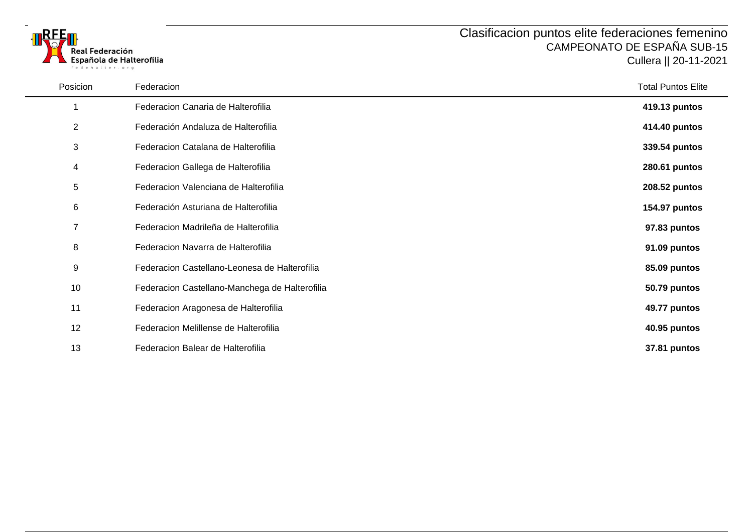

| Posicion       | Federacion                                     | <b>Total Puntos Elite</b> |
|----------------|------------------------------------------------|---------------------------|
|                | Federacion Canaria de Halterofilia             | 419.13 puntos             |
| $\overline{2}$ | Federación Andaluza de Halterofilia            | 414.40 puntos             |
| 3              | Federacion Catalana de Halterofilia            | 339.54 puntos             |
| 4              | Federacion Gallega de Halterofilia             | 280.61 puntos             |
| 5              | Federacion Valenciana de Halterofilia          | 208.52 puntos             |
| 6              | Federación Asturiana de Halterofilia           | <b>154.97 puntos</b>      |
| 7              | Federacion Madrileña de Halterofilia           | 97.83 puntos              |
| 8              | Federacion Navarra de Halterofilia             | 91.09 puntos              |
| 9              | Federacion Castellano-Leonesa de Halterofilia  | 85.09 puntos              |
| 10             | Federacion Castellano-Manchega de Halterofilia | 50.79 puntos              |
| 11             | Federacion Aragonesa de Halterofilia           | 49.77 puntos              |
| 12             | Federacion Melillense de Halterofilia          | 40.95 puntos              |
| 13             | Federacion Balear de Halterofilia              | 37.81 puntos              |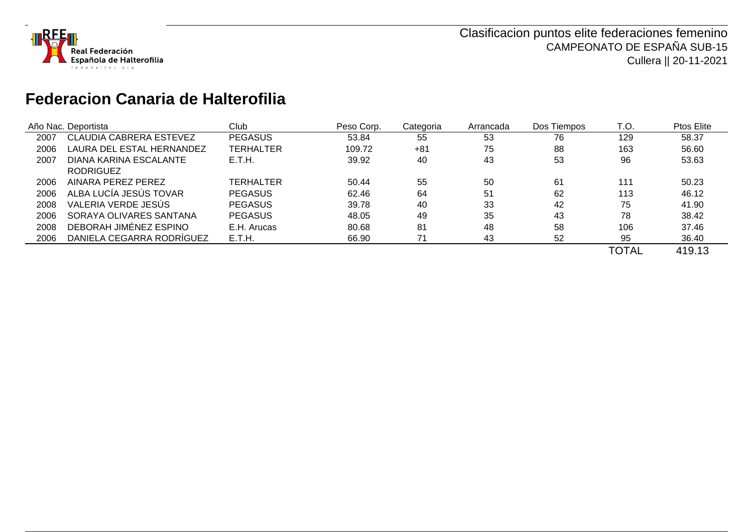

# **Federacion Canaria de Halterofilia**

|      | Año Nac. Deportista       | Club           | Peso Corp. | Categoria | Arrancada | Dos Tiempos | T.O.         | <b>Ptos Elite</b> |
|------|---------------------------|----------------|------------|-----------|-----------|-------------|--------------|-------------------|
| 2007 | CLAUDIA CABRERA ESTEVEZ   | <b>PEGASUS</b> | 53.84      | 55        | 53        | 76          | 129          | 58.37             |
| 2006 | LAURA DEL ESTAL HERNANDEZ | TERHALTER      | 109.72     | $+81$     | 75        | 88          | 163          | 56.60             |
| 2007 | DIANA KARINA ESCALANTE    | E.T.H.         | 39.92      | 40        | 43        | 53          | 96           | 53.63             |
|      | <b>RODRIGUEZ</b>          |                |            |           |           |             |              |                   |
| 2006 | AINARA PEREZ PEREZ        | TERHALTER      | 50.44      | 55        | 50        | 61          | 111          | 50.23             |
| 2006 | ALBA LUCÍA JESÚS TOVAR    | <b>PEGASUS</b> | 62.46      | 64        | 51        | 62          | 113          | 46.12             |
| 2008 | VALERIA VERDE JESÚS       | <b>PEGASUS</b> | 39.78      | 40        | 33        | 42          | 75           | 41.90             |
| 2006 | SORAYA OLIVARES SANTANA   | <b>PEGASUS</b> | 48.05      | 49        | 35        | 43          | 78           | 38.42             |
| 2008 | DEBORAH JIMÉNEZ ESPINO    | E.H. Arucas    | 80.68      | 81        | 48        | 58          | 106          | 37.46             |
| 2006 | DANIELA CEGARRA RODRIGUEZ | E.T.H.         | 66.90      | 71        | 43        | 52          | 95           | 36.40             |
|      |                           |                |            |           |           |             | <b>TOTAL</b> | 419.13            |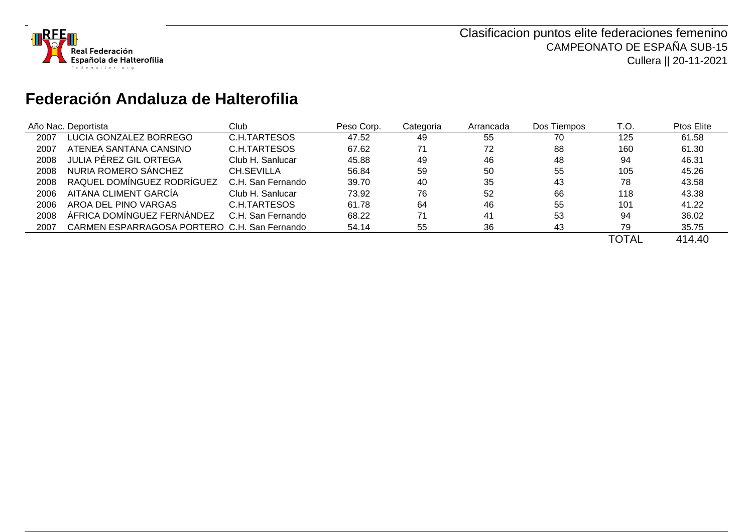

# **Federación Andaluza de Halterofilia**

|      | Año Nac. Deportista                          | Club              | Peso Corp. | Categoria | Arrancada | Dos Tiempos | T.O.         | Ptos Elite |
|------|----------------------------------------------|-------------------|------------|-----------|-----------|-------------|--------------|------------|
| 2007 | LUCIA GONZALEZ BORREGO                       | C.H.TARTESOS      | 47.52      | 49        | 55        | 70          | 125          | 61.58      |
| 2007 | ATENEA SANTANA CANSINO                       | C.H.TARTESOS      | 67.62      | 71        | 72        | 88          | 160          | 61.30      |
| 2008 | JULIA PÉREZ GIL ORTEGA                       | Club H. Sanlucar  | 45.88      | 49        | 46        | 48          | 94           | 46.31      |
| 2008 | NURIA ROMERO SÁNCHEZ                         | CH.SEVILLA        | 56.84      | 59        | 50        | 55          | 105          | 45.26      |
| 2008 | RAQUEL DOMINGUEZ RODRIGUEZ                   | C.H. San Fernando | 39.70      | 40        | 35        | 43          | 78           | 43.58      |
| 2006 | AITANA CLIMENT GARCIA                        | Club H. Sanlucar  | 73.92      | 76        | 52        | 66          | 118          | 43.38      |
| 2006 | AROA DEL PINO VARGAS                         | C.H.TARTESOS      | 61.78      | 64        | 46        | 55          | 101          | 41.22      |
| 2008 | ÁFRICA DOMÍNGUEZ FERNÁNDEZ                   | C.H. San Fernando | 68.22      | 71        | 41        | 53          | 94           | 36.02      |
| 2007 | CARMEN ESPARRAGOSA PORTERO C.H. San Fernando |                   | 54.14      | 55        | 36        | 43          | 79           | 35.75      |
|      |                                              |                   |            |           |           |             | <b>TOTAL</b> | 414.40     |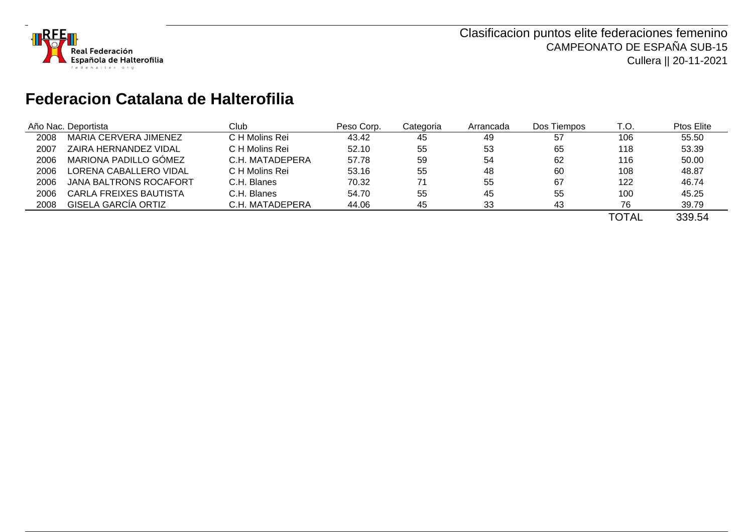

# **Federacion Catalana de Halterofilia**

|      | Año Nac. Deportista           | Club            | Peso Corp. | Categoria | Arrancada | Dos Tiempos | T.O.         | Ptos Elite |
|------|-------------------------------|-----------------|------------|-----------|-----------|-------------|--------------|------------|
| 2008 | MARIA CERVERA JIMENEZ         | C H Molins Rei  | 43.42      | 45        | 49        | 57          | 106          | 55.50      |
| 2007 | ZAIRA HERNANDEZ VIDAL         | C H Molins Rei  | 52.10      | 55        | 53        | 65          | 118          | 53.39      |
| 2006 | MARIONA PADILLO GÓMEZ         | C.H. MATADEPERA | 57.78      | 59        | 54        | 62          | 116          | 50.00      |
| 2006 | LORENA CABALLERO VIDAL        | C H Molins Rei  | 53.16      | 55        | 48        | 60          | 108          | 48.87      |
| 2006 | <b>JANA BALTRONS ROCAFORT</b> | C.H. Blanes     | 70.32      | 71        | 55        | 67          | 122          | 46.74      |
| 2006 | <b>CARLA FREIXES BAUTISTA</b> | C.H. Blanes     | 54.70      | 55        | 45        | 55          | 100          | 45.25      |
| 2008 | GISELA GARCÍA ORTIZ           | C.H. MATADEPERA | 44.06      | 45        | 33        | 43          | 76           | 39.79      |
|      |                               |                 |            |           |           |             | <b>TOTAL</b> | 339.54     |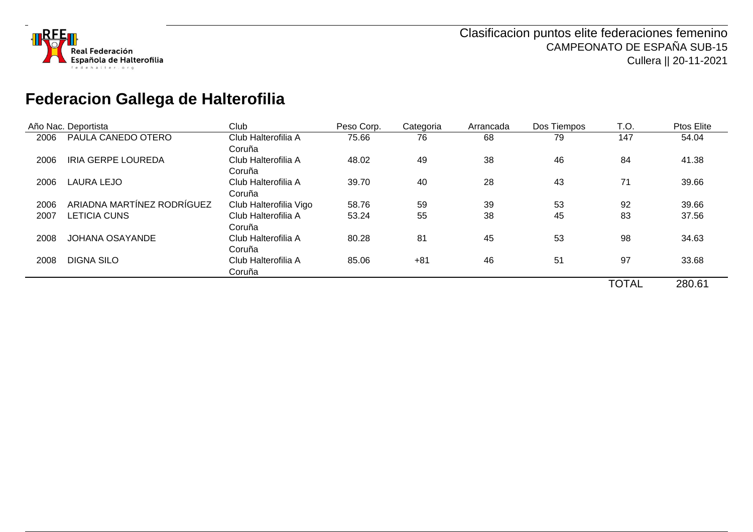

# **Federacion Gallega de Halterofilia**

|      | Año Nac. Deportista        | Club                   | Peso Corp. | Categoria | Arrancada | Dos Tiempos | T.O.         | Ptos Elite |
|------|----------------------------|------------------------|------------|-----------|-----------|-------------|--------------|------------|
| 2006 | PAULA CANEDO OTERO         | Club Halterofilia A    | 75.66      | 76        | 68        | 79          | 147          | 54.04      |
|      |                            | Coruña                 |            |           |           |             |              |            |
| 2006 | <b>IRIA GERPE LOUREDA</b>  | Club Halterofilia A    | 48.02      | 49        | 38        | 46          | 84           | 41.38      |
|      |                            | Coruña                 |            |           |           |             |              |            |
| 2006 | <b>LAURA LEJO</b>          | Club Halterofilia A    | 39.70      | 40        | 28        | 43          | 71           | 39.66      |
|      |                            | Coruña                 |            |           |           |             |              |            |
| 2006 | ARIADNA MARTÍNEZ RODRÍGUEZ | Club Halterofilia Vigo | 58.76      | 59        | 39        | 53          | 92           | 39.66      |
| 2007 | LETICIA CUNS               | Club Halterofilia A    | 53.24      | 55        | 38        | 45          | 83           | 37.56      |
|      |                            | Coruña                 |            |           |           |             |              |            |
| 2008 | <b>JOHANA OSAYANDE</b>     | Club Halterofilia A    | 80.28      | 81        | 45        | 53          | 98           | 34.63      |
|      |                            | Coruña                 |            |           |           |             |              |            |
| 2008 | <b>DIGNA SILO</b>          | Club Halterofilia A    | 85.06      | $+81$     | 46        | 51          | 97           | 33.68      |
|      |                            | Coruña                 |            |           |           |             |              |            |
|      |                            |                        |            |           |           |             | <b>TOTAL</b> | 280.61     |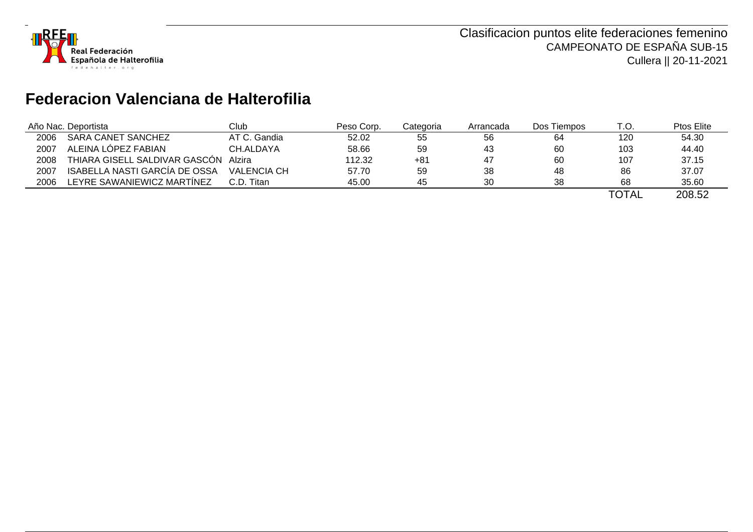

# **Federacion Valenciana de Halterofilia**

|      | Año Nac. Deportista           | Club         | Peso Corp. | Categoria | Arrancada | Dos Tiempos | T.O.         | Ptos Elite |
|------|-------------------------------|--------------|------------|-----------|-----------|-------------|--------------|------------|
| 2006 | SARA CANET SANCHEZ            | AT C. Gandia | 52.02      | 55        | 56        | 64          | 120          | 54.30      |
| 2007 | ALEINA LÓPEZ FABIAN           | CH.ALDAYA    | 58.66      | 59        | 43        | 60          | 103          | 44.40      |
| 2008 | THIARA GISELL SALDIVAR GASCON | Alzira       | 112.32     | $+81$     | 47        | 60          | 107          | 37.15      |
| 2007 | ISABELLA NASTI GARCÍA DE OSSA | VALENCIA CH  | 57.70      | 59        | 38        | 48          | 86           | 37.07      |
| 2006 | LEYRE SAWANIEWICZ MARTÍNEZ    | C.D. Titan   | 45.00      | 45        | 30        | 38          | 68           | 35.60      |
|      |                               |              |            |           |           |             | <b>TOTAL</b> | 208.52     |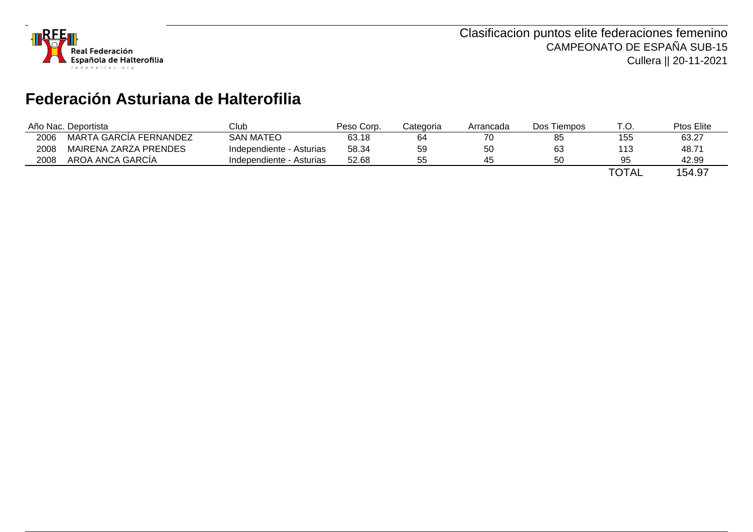

# **Federación Asturiana de Halterofilia**

|      | Año Nac. Deportista    | Club                     | Peso Corp. | Cateɑoria | Arrancada | Dos Tiempos | T.O.         | <b>Ptos Elite</b> |
|------|------------------------|--------------------------|------------|-----------|-----------|-------------|--------------|-------------------|
| 2006 | MARTA GARCÍA FERNANDEZ | <b>SAN MATEO</b>         | 63.18      | 64        | 70        | 85          | 155          | 63.27             |
| 2008 | MAIRENA ZARZA PRENDES  | Independiente - Asturias | 58.34      | 59        | 50        | 63          | 113          | 48.71             |
| 2008 | AROA ANCA GARCIA       | Independiente - Asturias | 52.68      | 55        | 45        | 50          | 95           | 42.99             |
|      |                        |                          |            |           |           |             | <b>TOTAL</b> | 154.97            |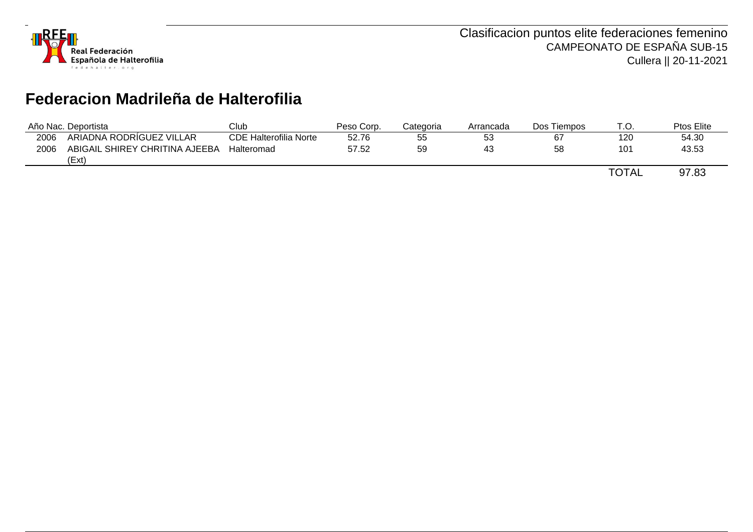

# **Federacion Madrileña de Halterofilia**

|      | Año Nac. Deportista            | Club                          | Peso Corp. | Categoria | Arrancada | Dos Tiempos | T.O.         | Ptos Elite |
|------|--------------------------------|-------------------------------|------------|-----------|-----------|-------------|--------------|------------|
| 2006 | ARIADNA RODRÍGUEZ VILLAR       | <b>CDE Halterofilia Norte</b> | 52.76      | 55        | 53        | 67          | 120          | 54.30      |
| 2006 | ABIGAIL SHIREY CHRITINA AJEEBA | Halteromad                    | 57.52      | 59        | 43        | 58          | 101          | 43.53      |
|      | (Ext)                          |                               |            |           |           |             |              |            |
|      |                                |                               |            |           |           |             | <b>TOTAL</b> | 97.83      |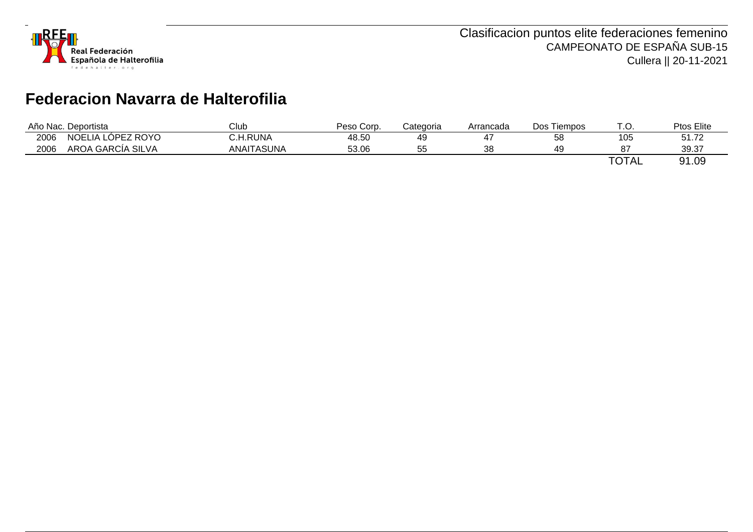

# **Federacion Navarra de Halterofilia**

| Club<br>Año Nac. Deportista |                   |            | Peso Corp. | Categoria | Arrancada | Dos Tiempos | T.O.         | Ptos Elite |
|-----------------------------|-------------------|------------|------------|-----------|-----------|-------------|--------------|------------|
| 2006                        | NOELIA LÓPEZ ROYO | C.H.RUNA   | 48.50      | 49        |           | 58          | 105          | 51.72      |
| 2006                        | AROA GARCÍA SILVA | ANAITASUNA | 53.06      | 55        | 38        | 49          | 87           | 39.37      |
|                             |                   |            |            |           |           |             | <b>TOTAL</b> | 91.09      |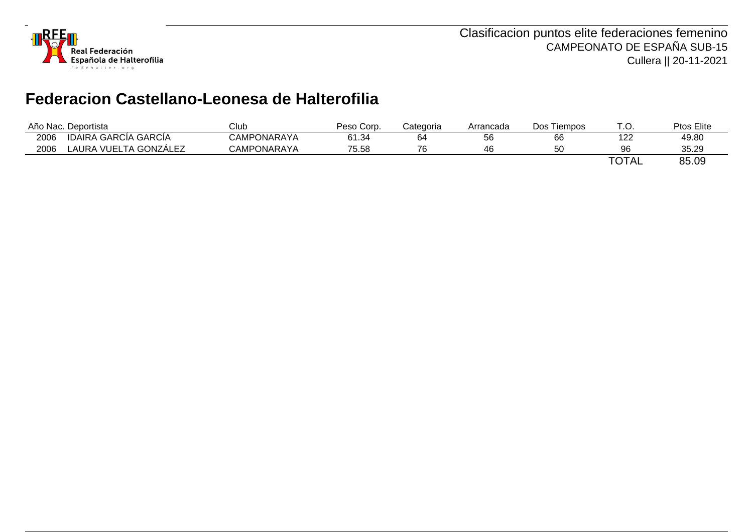

# **Federacion Castellano-Leonesa de Halterofilia**

| Año Nac. Deportista |                                  | Club               | Peso Corp. | Categoria | Arrancada | Dos Tiempos | - -<br>ا     | Ptos Elite |
|---------------------|----------------------------------|--------------------|------------|-----------|-----------|-------------|--------------|------------|
| 2006                | IDAIRA GARCÍA GARCÍA             | <b>CAMPONARAYA</b> | 61.34      | 64        | 56        | 66          | 122          | 49.80      |
| 2006                | \ VUELTA GONZÁLEZ<br><b>AURA</b> | <b>CAMPONARAYA</b> | 75.58      | 76        | 46        | 50<br>JU    | 96           | 35.29      |
|                     |                                  |                    |            |           |           |             | <b>TOTAL</b> | 85.09      |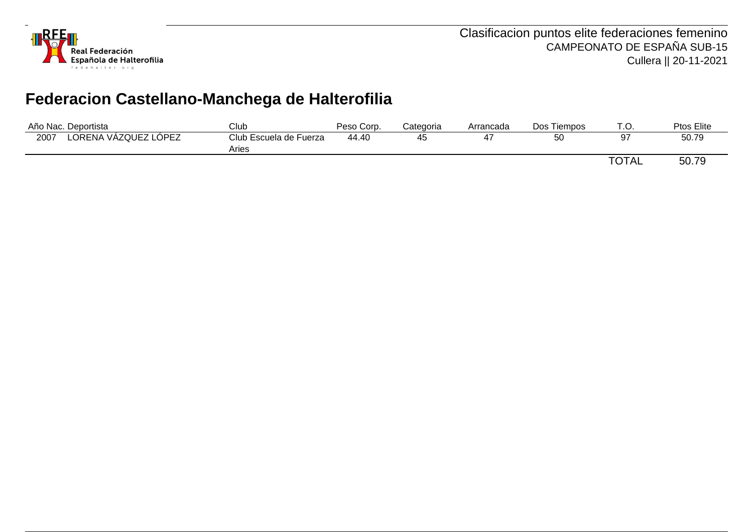

# **Federacion Castellano-Manchega de Halterofilia**

| Año Nac.<br>Deportista |                      | Club                   | Peso Corp. | Categoria | Arrancada | Dos Tiempos | $\Gamma$ $\Gamma$<br>. ب | Ptos Elite |
|------------------------|----------------------|------------------------|------------|-----------|-----------|-------------|--------------------------|------------|
| 2007                   | LORENA VÁZQUEZ LÓPEZ | Club Escuela de Fuerza | 44.40      | 45        |           | 5C<br>JU    |                          | 50.79      |
|                        |                      | Aries                  |            |           |           |             |                          |            |
|                        |                      |                        |            |           |           |             | <b>TOTAL</b>             | 50.79      |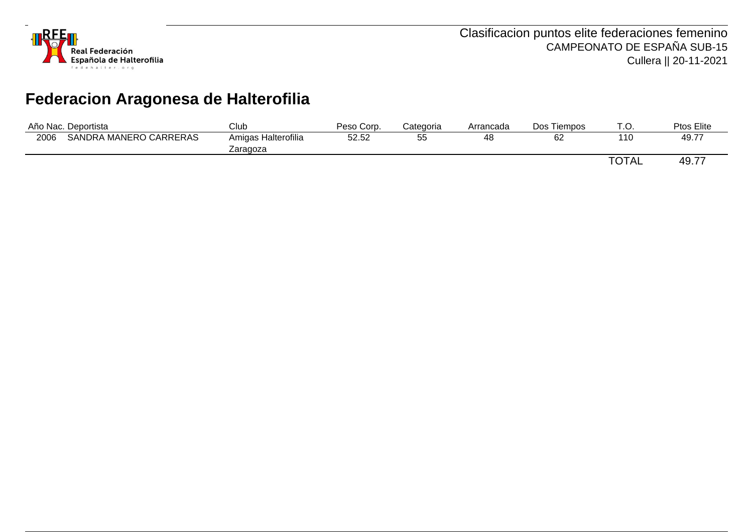

# **Federacion Aragonesa de Halterofilia**

| Año Nac. Deportista |                        | Club                | Peso Corp. | Categoria | Arrancada | Dos i<br>Tiempos | . ب ب        | Ptos Elite |
|---------------------|------------------------|---------------------|------------|-----------|-----------|------------------|--------------|------------|
| 2006                | SANDRA MANERO CARRERAS | Amigas Halterofilia | 52.52      | ხხ        | 48        | 62               | 110          | 49.77      |
|                     |                        | Zaragoza            |            |           |           |                  |              |            |
|                     |                        |                     |            |           |           |                  | <b>TOTAL</b> | 49.77      |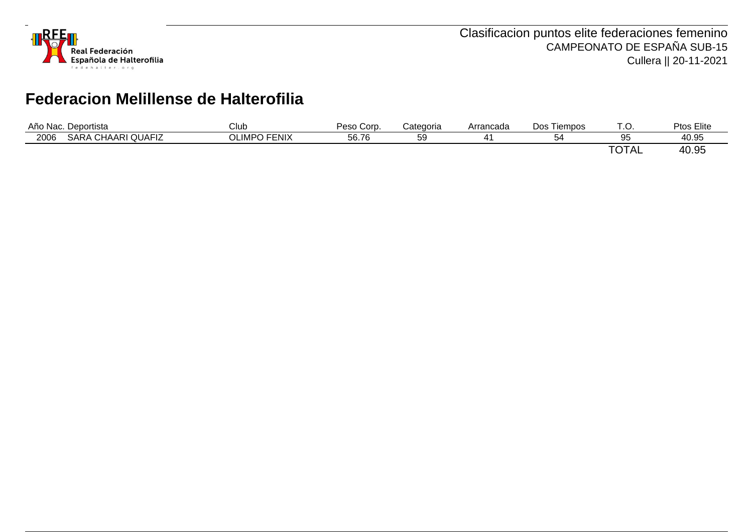

# **Federacion Melillense de Halterofilia**

| Año Nac.<br>Deportista |                                                    | Club                | Corp.<br>∪eso | Categoria | Arrancada | <b>Dos</b><br>Tiempos |                                     | Ptos Elite |
|------------------------|----------------------------------------------------|---------------------|---------------|-----------|-----------|-----------------------|-------------------------------------|------------|
| 2006                   | QUAFIZ<br>SARA<br>$\sim$ $\sim$<br>ΔR.<br>ΉA.<br>. | <b>OLIMPO FENIX</b> | 56.76         | 50<br>ບບ  |           | -<br>÷.<br>ູ          | ( ) I<br>◡◡                         | 40.95      |
|                        |                                                    |                     |               |           |           |                       | $+\wedge +$<br>$\mathbf{v}$<br>UIAL | 40.95      |